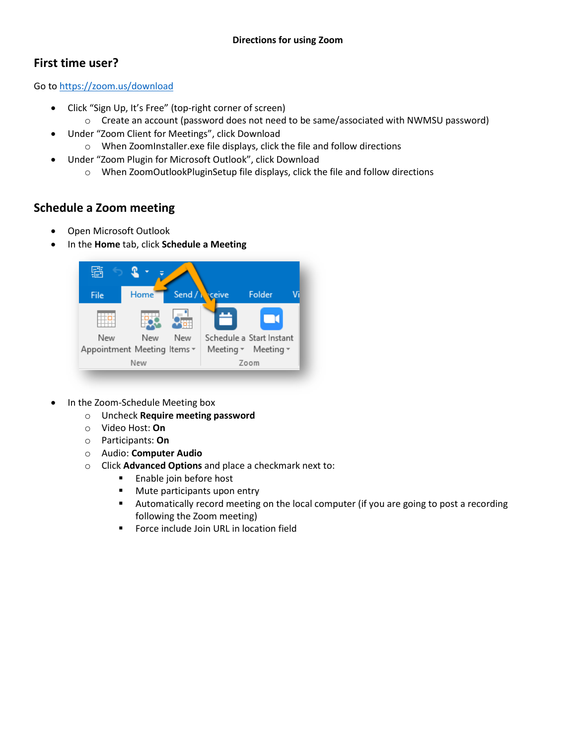## **First time user?**

Go to<https://zoom.us/download>

- Click "Sign Up, It's Free" (top-right corner of screen)
- o Create an account (password does not need to be same/associated with NWMSU password)
- Under "Zoom Client for Meetings", click Download
	- o When ZoomInstaller.exe file displays, click the file and follow directions
- Under "Zoom Plugin for Microsoft Outlook", click Download
	- o When ZoomOutlookPluginSetup file displays, click the file and follow directions

## **Schedule a Zoom meeting**

- Open Microsoft Outlook
- In the **Home** tab, click **Schedule a Meeting**



- In the Zoom-Schedule Meeting box
	- o Uncheck **Require meeting password**
	- o Video Host: **On**
	- o Participants: **On**
	- o Audio: **Computer Audio**
	- o Click **Advanced Options** and place a checkmark next to:
		- **Enable join before host**
		- **Mute participants upon entry**
		- Automatically record meeting on the local computer (if you are going to post a recording following the Zoom meeting)
		- **Force include Join URL in location field**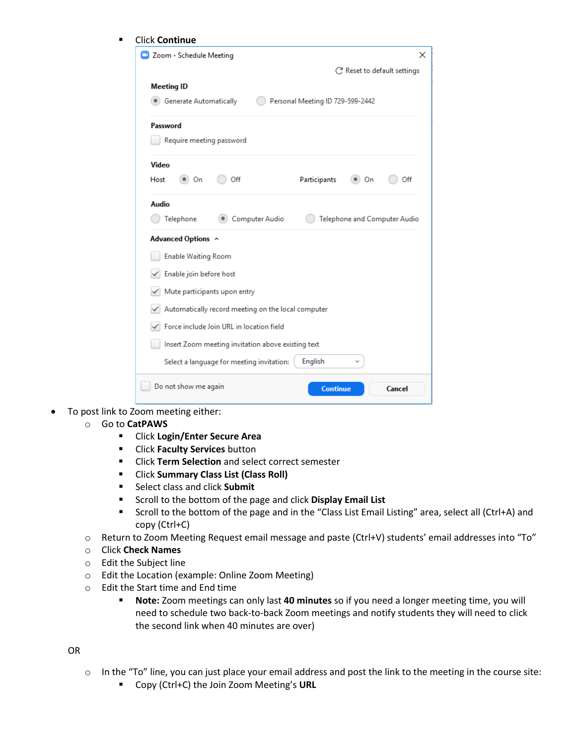| Zoom - Schedule Meeting                            |                |                                  |                              |     |
|----------------------------------------------------|----------------|----------------------------------|------------------------------|-----|
|                                                    |                |                                  | C' Reset to default settings |     |
| <b>Meeting ID</b>                                  |                |                                  |                              |     |
| <b>Converted Automatically</b>                     |                | Personal Meeting ID 729-599-2442 |                              |     |
| Password                                           |                |                                  |                              |     |
| Require meeting password                           |                |                                  |                              |     |
| <b>Video</b>                                       |                |                                  |                              |     |
| Host<br>$\bullet$ On                               | Off            | Participants                     | On                           | Off |
| <b>Audio</b>                                       |                |                                  |                              |     |
| Telephone                                          | Computer Audio |                                  | Telephone and Computer Audio |     |
| Advanced Options ^                                 |                |                                  |                              |     |
| <b>Enable Waiting Room</b>                         |                |                                  |                              |     |
| Enable join before host                            |                |                                  |                              |     |
| Mute participants upon entry                       |                |                                  |                              |     |
| Automatically record meeting on the local computer |                |                                  |                              |     |
| Force include Join URL in location field           |                |                                  |                              |     |
|                                                    |                |                                  |                              |     |
| Insert Zoom meeting invitation above existing text |                |                                  |                              |     |

- To post link to Zoom meeting either:
	- o Go to **CatPAWS**
		- Click **Login/Enter Secure Area**
		- Click **Faculty Services** button
		- Click **Term Selection** and select correct semester
		- Click **Summary Class List (Class Roll)**
		- Select class and click **Submit**
		- **EXECTE:** Scroll to the bottom of the page and click Display Email List
		- Scroll to the bottom of the page and in the "Class List Email Listing" area, select all (Ctrl+A) and copy (Ctrl+C)
	- o Return to Zoom Meeting Request email message and paste (Ctrl+V) students' email addresses into "To"
	- o Click **Check Names**
	- o Edit the Subject line
	- o Edit the Location (example: Online Zoom Meeting)
	- Edit the Start time and End time  $\blacksquare$  Note: Zoom meetings ca
		- **Note:** Zoom meetings can only last **40 minutes** so if you need a longer meeting time, you will need to schedule two back-to-back Zoom meetings and notify students they will need to click the second link when 40 minutes are over)

OR

- o In the "To" line, you can just place your email address and post the link to the meeting in the course site:
	- Copy (Ctrl+C) the Join Zoom Meeting's URL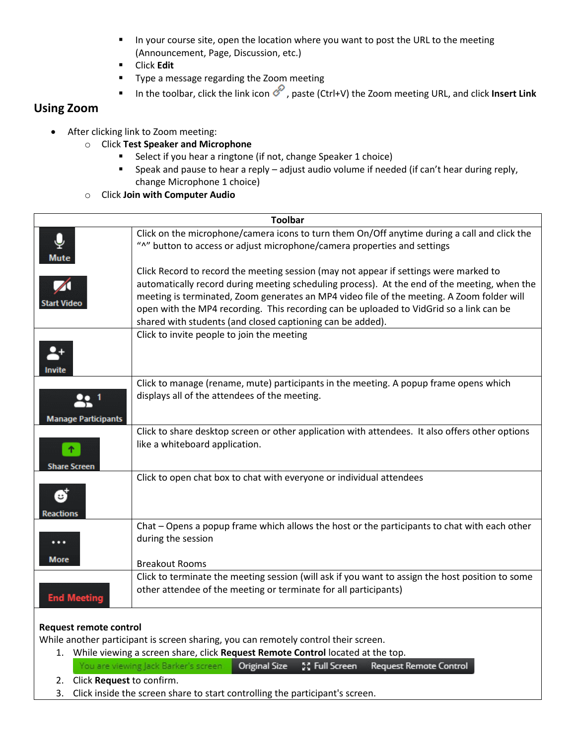- In your course site, open the location where you want to post the URL to the meeting (Announcement, Page, Discussion, etc.)
- Click **Edit**
- **Type a message regarding the Zoom meeting**
- In the toolbar, click the link icon *o*, paste (Ctrl+V) the Zoom meeting URL, and click **Insert Link**

## **Using Zoom**

- After clicking link to Zoom meeting:
	- o Click **Test Speaker and Microphone**
		- **Select if you hear a ringtone (if not, change Speaker 1 choice)**
		- Speak and pause to hear a reply adjust audio volume if needed (if can't hear during reply, change Microphone 1 choice)
	- o Click **Join with Computer Audio**

| <b>Toolbar</b>             |                                                                                                                                                                                                                                                                                                                                                                                                                                              |  |  |  |  |  |
|----------------------------|----------------------------------------------------------------------------------------------------------------------------------------------------------------------------------------------------------------------------------------------------------------------------------------------------------------------------------------------------------------------------------------------------------------------------------------------|--|--|--|--|--|
| Mute                       | Click on the microphone/camera icons to turn them On/Off anytime during a call and click the<br>"^" button to access or adjust microphone/camera properties and settings                                                                                                                                                                                                                                                                     |  |  |  |  |  |
| <b>Start Vide</b>          | Click Record to record the meeting session (may not appear if settings were marked to<br>automatically record during meeting scheduling process). At the end of the meeting, when the<br>meeting is terminated, Zoom generates an MP4 video file of the meeting. A Zoom folder will<br>open with the MP4 recording. This recording can be uploaded to VidGrid so a link can be<br>shared with students (and closed captioning can be added). |  |  |  |  |  |
| Invite                     | Click to invite people to join the meeting                                                                                                                                                                                                                                                                                                                                                                                                   |  |  |  |  |  |
| <b>Manage Participants</b> | Click to manage (rename, mute) participants in the meeting. A popup frame opens which<br>displays all of the attendees of the meeting.                                                                                                                                                                                                                                                                                                       |  |  |  |  |  |
| <b>Share Screen</b>        | Click to share desktop screen or other application with attendees. It also offers other options<br>like a whiteboard application.                                                                                                                                                                                                                                                                                                            |  |  |  |  |  |
| Reactions                  | Click to open chat box to chat with everyone or individual attendees                                                                                                                                                                                                                                                                                                                                                                         |  |  |  |  |  |
| $\cdots$<br><b>More</b>    | Chat – Opens a popup frame which allows the host or the participants to chat with each other<br>during the session<br><b>Breakout Rooms</b>                                                                                                                                                                                                                                                                                                  |  |  |  |  |  |
| <b>End Meeting</b>         | Click to terminate the meeting session (will ask if you want to assign the host position to some<br>other attendee of the meeting or terminate for all participants)                                                                                                                                                                                                                                                                         |  |  |  |  |  |
| Request remote control     |                                                                                                                                                                                                                                                                                                                                                                                                                                              |  |  |  |  |  |

While another participant is screen sharing, you can remotely control their screen.

- 1. While viewing a screen share, click **Request Remote Control** located at the top. You are viewing Jack Barker's screen **Original Size** SC Full Screen Request Remote Control
- 2. Click **Request** to confirm.
- 3. Click inside the screen share to start controlling the participant's screen.